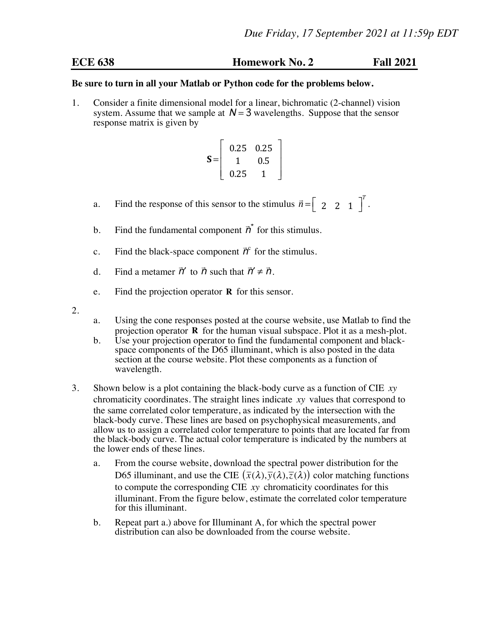## **ECE 638 Homework No. 2 Fall 2021**

## **Be sure to turn in all your Matlab or Python code for the problems below.**

1. Consider a finite dimensional model for a linear, bichromatic (2-channel) vision system. Assume that we sample at  $N = 3$  wavelengths. Suppose that the sensor response matrix is given by

$$
\mathbf{S} = \left[ \begin{array}{cc} 0.25 & 0.25 \\ 1 & 0.5 \\ 0.25 & 1 \end{array} \right]
$$

- a. Find the response of this sensor to the stimulus  $\vec{n} = \begin{bmatrix} 2 & 2 & 1 \end{bmatrix}$ *T* .
- b. Find the fundamental component  $\vec{p}^*$  for this stimulus.
- c. Find the black-space component  $\vec{r}^c$  for the stimulus.
- d. Find a metamer  $\vec{n}'$  to  $\vec{n}$  such that  $\vec{n}' \neq \vec{n}$ .
- e. Find the projection operator **R** for this sensor.
- 2.
- a. Using the cone responses posted at the course website, use Matlab to find the projection operator **R** for the human visual subspace. Plot it as a mesh-plot.
- b. Use your projection operator to find the fundamental component and blackspace components of the D65 illuminant, which is also posted in the data section at the course website. Plot these components as a function of wavelength.
- 3. Shown below is a plot containing the black-body curve as a function of CIE *xy* chromaticity coordinates. The straight lines indicate *xy* values that correspond to the same correlated color temperature, as indicated by the intersection with the black-body curve. These lines are based on psychophysical measurements, and allow us to assign a correlated color temperature to points that are located far from the black-body curve. The actual color temperature is indicated by the numbers at the lower ends of these lines.
	- a. From the course website, download the spectral power distribution for the D65 illuminant, and use the CIE  $(\bar{x}(\lambda), \bar{y}(\lambda), \bar{z}(\lambda))$  color matching functions to compute the corresponding CIE *xy* chromaticity coordinates for this illuminant. From the figure below, estimate the correlated color temperature for this illuminant.
	- b. Repeat part a.) above for Illuminant A, for which the spectral power distribution can also be downloaded from the course website.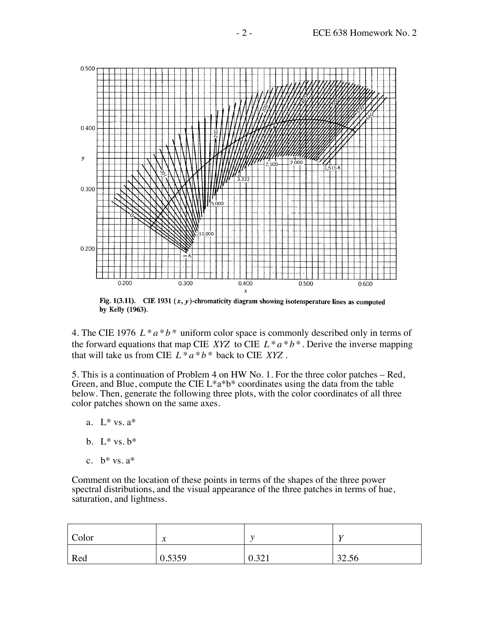

Fig. 1(3.11). CIE 1931  $(x, y)$ -chromaticity diagram showing isotemperature lines as computed by Kelly (1963).

4. The CIE 1976 *L* \* *a* \**b* \* uniform color space is commonly described only in terms of the forward equations that map CIE *XYZ* to CIE  $L^* a^* b^*$ . Derive the inverse mapping that will take us from CIE  $L^* a * b^*$  back to CIE *XYZ*.

5. This is a continuation of Problem 4 on HW No. 1. For the three color patches – Red, Green, and Blue, compute the CIE  $L^*a^*b^*$  coordinates using the data from the table below. Then, generate the following three plots, with the color coordinates of all three color patches shown on the same axes.

- a. L\* vs. a\*
- b. L\* vs. b\*
- c.  $b^*$  vs.  $a^*$

Comment on the location of these points in terms of the shapes of the three power spectral distributions, and the visual appearance of the three patches in terms of hue, saturation, and lightness.

| Color | $\mathbf{A}$<br>$\boldsymbol{\mathcal{N}}$ |       |       |
|-------|--------------------------------------------|-------|-------|
| Red   | 0.5359                                     | 0.321 | 32.56 |